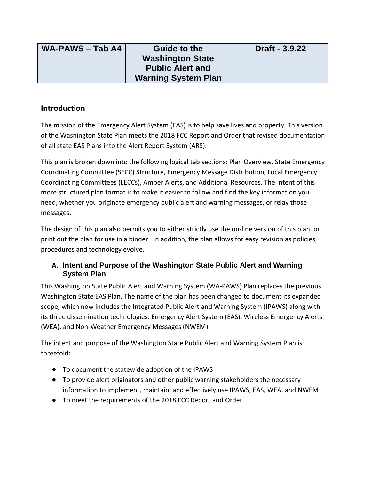| <b>WA-PAWS - Tab A4</b> | <b>Guide to the</b>        | Draft - 3.9.22 |
|-------------------------|----------------------------|----------------|
|                         | <b>Washington State</b>    |                |
|                         | <b>Public Alert and</b>    |                |
|                         | <b>Warning System Plan</b> |                |

### **Introduction**

The mission of the Emergency Alert System (EAS) is to help save lives and property. This version of the Washington State Plan meets the 2018 FCC Report and Order that revised documentation of all state EAS Plans into the Alert Report System (ARS).

This plan is broken down into the following logical tab sections: Plan Overview, State Emergency Coordinating Committee (SECC) Structure, Emergency Message Distribution, Local Emergency Coordinating Committees (LECCs), Amber Alerts, and Additional Resources. The intent of this more structured plan format is to make it easier to follow and find the key information you need, whether you originate emergency public alert and warning messages, or relay those messages.

The design of this plan also permits you to either strictly use the on-line version of this plan, or print out the plan for use in a binder. In addition, the plan allows for easy revision as policies, procedures and technology evolve.

### **A. Intent and Purpose of the Washington State Public Alert and Warning System Plan**

This Washington State Public Alert and Warning System (WA-PAWS) Plan replaces the previous Washington State EAS Plan. The name of the plan has been changed to document its expanded scope, which now includes the Integrated Public Alert and Warning System (IPAWS) along with its three dissemination technologies: Emergency Alert System (EAS), Wireless Emergency Alerts (WEA), and Non-Weather Emergency Messages (NWEM).

The intent and purpose of the Washington State Public Alert and Warning System Plan is threefold:

- To document the statewide adoption of the IPAWS
- To provide alert originators and other public warning stakeholders the necessary information to implement, maintain, and effectively use IPAWS, EAS, WEA, and NWEM
- To meet the requirements of the 2018 FCC Report and Order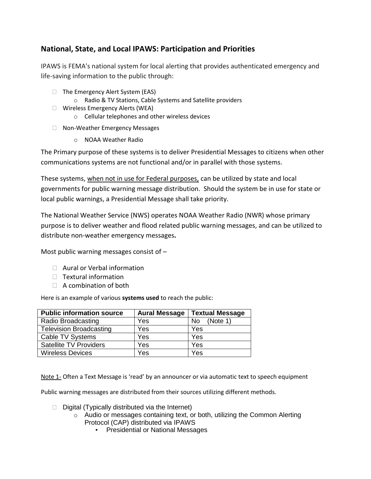# **National, State, and Local IPAWS: Participation and Priorities**

IPAWS is FEMA's national system for local alerting that provides authenticated emergency and life-saving information to the public through:

- $\Box$  The Emergency Alert System (EAS)
	- o Radio & TV Stations, Cable Systems and Satellite providers
- ⮚ Wireless Emergency Alerts (WEA)
	- o Cellular telephones and other wireless devices
- □ Non-Weather Emergency Messages
	- o NOAA Weather Radio

The Primary purpose of these systems is to deliver Presidential Messages to citizens when other communications systems are not functional and/or in parallel with those systems.

These systems, when not in use for Federal purposes, can be utilized by state and local governments for public warning message distribution. Should the system be in use for state or local public warnings, a Presidential Message shall take priority.

The National Weather Service (NWS) operates NOAA Weather Radio (NWR) whose primary purpose is to deliver weather and flood related public warning messages, and can be utilized to distribute non-weather emergency messages**.** 

Most public warning messages consist of  $-$ 

- □ Aural or Verbal information
- $\Box$  Textural information
- $\Box$  A combination of both

Here is an example of various **systems used** to reach the public:

| <b>Public information source</b> | <b>Aural Message</b> | <b>Textual Message</b> |
|----------------------------------|----------------------|------------------------|
| Radio Broadcasting               | Yes                  | (Note 1)<br>No         |
| <b>Television Broadcasting</b>   | Yes                  | Yes                    |
| Cable TV Systems                 | Yes                  | Yes                    |
| <b>Satellite TV Providers</b>    | Yes                  | Yes                    |
| <b>Wireless Devices</b>          | Yes                  | Yes                    |

Note 1- Often a Text Message is 'read' by an announcer or via automatic text to speech equipment

Public warning messages are distributed from their sources utilizing different methods.

- $\Box$  Digital (Typically distributed via the Internet)
	- $\circ$  Audio or messages containing text, or both, utilizing the Common Alerting Protocol (CAP) distributed via IPAWS
		- Presidential or National Messages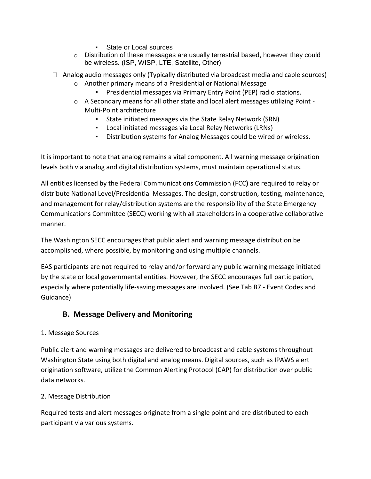- State or Local sources
- $\circ$  Distribution of these messages are usually terrestrial based, however they could be wireless. (ISP, WISP, LTE, Satellite, Other)
- $\Box$  Analog audio messages only (Typically distributed via broadcast media and cable sources)
	- o Another primary means of a Presidential or National Message
		- Presidential messages via Primary Entry Point (PEP) radio stations.
	- o A Secondary means for all other state and local alert messages utilizing Point Multi-Point architecture
		- State initiated messages via the State Relay Network (SRN)
		- Local initiated messages via Local Relay Networks (LRNs)
		- Distribution systems for Analog Messages could be wired or wireless.

It is important to note that analog remains a vital component. All warning message origination levels both via analog and digital distribution systems, must maintain operational status.

All entities licensed by the Federal Communications Commission (FCC**)** are required to relay or distribute National Level/Presidential Messages. The design, construction, testing, maintenance, and management for relay/distribution systems are the responsibility of the State Emergency Communications Committee (SECC) working with all stakeholders in a cooperative collaborative manner.

The Washington SECC encourages that public alert and warning message distribution be accomplished, where possible, by monitoring and using multiple channels.

EAS participants are not required to relay and/or forward any public warning message initiated by the state or local governmental entities. However, the SECC encourages full participation, especially where potentially life-saving messages are involved. (See Tab B7 - Event Codes and Guidance)

## **B. Message Delivery and Monitoring**

#### 1. Message Sources

Public alert and warning messages are delivered to broadcast and cable systems throughout Washington State using both digital and analog means. Digital sources, such as IPAWS alert origination software, utilize the Common Alerting Protocol (CAP) for distribution over public data networks.

#### 2. Message Distribution

Required tests and alert messages originate from a single point and are distributed to each participant via various systems.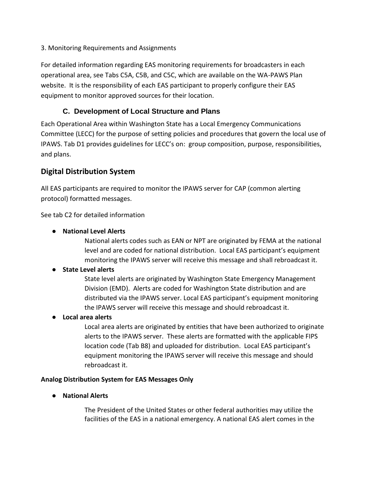3. Monitoring Requirements and Assignments

For detailed information regarding EAS monitoring requirements for broadcasters in each operational area, see Tabs C5A, C5B, and C5C, which are available on the WA-PAWS Plan website. It is the responsibility of each EAS participant to properly configure their EAS equipment to monitor approved sources for their location.

## **C. Development of Local Structure and Plans**

Each Operational Area within Washington State has a Local Emergency Communications Committee (LECC) for the purpose of setting policies and procedures that govern the local use of IPAWS. Tab D1 provides guidelines for LECC's on: group composition, purpose, responsibilities, and plans.

# **Digital Distribution System**

All EAS participants are required to monitor the IPAWS server for CAP (common alerting protocol) formatted messages.

See tab C2 for detailed information

● **National Level Alerts**

National alerts codes such as EAN or NPT are originated by FEMA at the national level and are coded for national distribution. Local EAS participant's equipment monitoring the IPAWS server will receive this message and shall rebroadcast it.

### ● **State Level alerts**

State level alerts are originated by Washington State Emergency Management Division (EMD). Alerts are coded for Washington State distribution and are distributed via the IPAWS server. Local EAS participant's equipment monitoring the IPAWS server will receive this message and should rebroadcast it.

● **Local area alerts** 

Local area alerts are originated by entities that have been authorized to originate alerts to the IPAWS server. These alerts are formatted with the applicable FIPS location code (Tab B8) and uploaded for distribution. Local EAS participant's equipment monitoring the IPAWS server will receive this message and should rebroadcast it.

#### **Analog Distribution System for EAS Messages Only**

● **National Alerts** 

The President of the United States or other federal authorities may utilize the facilities of the EAS in a national emergency. A national EAS alert comes in the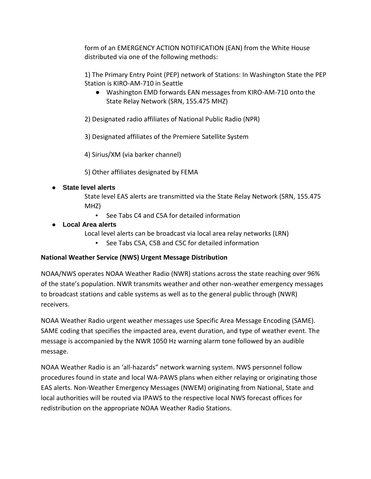form of an EMERGENCY ACTION NOTIFICATION (EAN) from the White House distributed via one of the following methods:

1) The Primary Entry Point (PEP) network of Stations: In Washington State the PEP Station is KIRO-AM-710 in Seattle

● Washington EMD forwards EAN messages from KIRO-AM-710 onto the State Relay Network (SRN, 155.475 MHZ)

2) Designated radio affiliates of National Public Radio (NPR)

3) Designated affiliates of the Premiere Satellite System

4) Sirius/XM (via barker channel)

5) Other affiliates designated by FEMA

#### **State level alerts**

State level EAS alerts are transmitted via the State Relay Network (SRN, 155.475 MHZ)

▪ See Tabs C4 and C5A for detailed information

#### ● **Local Area alerts**

Local level alerts can be broadcast via local area relay networks (LRN)

▪ See Tabs C5A, C5B and C5C for detailed information

### **National Weather Service (NWS) Urgent Message Distribution**

NOAA/NWS operates NOAA Weather Radio (NWR) stations across the state reaching over 96% of the state's population. NWR transmits weather and other non-weather emergency messages to broadcast stations and cable systems as well as to the general public through (NWR) receivers.

NOAA Weather Radio urgent weather messages use Specific Area Message Encoding (SAME). SAME coding that specifies the impacted area, event duration, and type of weather event. The message is accompanied by the NWR 1050 Hz warning alarm tone followed by an audible message.

NOAA Weather Radio is an 'all-hazards" network warning system. NWS personnel follow procedures found in state and local WA-PAWS plans when either relaying or originating those EAS alerts. Non-Weather Emergency Messages (NWEM) originating from National, State and local authorities will be routed via IPAWS to the respective local NWS forecast offices for redistribution on the appropriate NOAA Weather Radio Stations.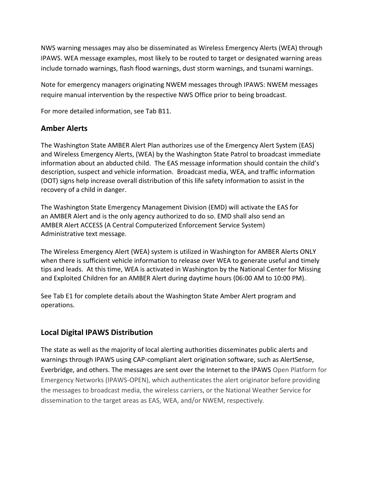NWS warning messages may also be disseminated as Wireless Emergency Alerts (WEA) through IPAWS. WEA message examples, most likely to be routed to target or designated warning areas include tornado warnings, flash flood warnings, dust storm warnings, and tsunami warnings.

Note for emergency managers originating NWEM messages through IPAWS: NWEM messages require manual intervention by the respective NWS Office prior to being broadcast.

For more detailed information, see Tab B11.

### **Amber Alerts**

The Washington State AMBER Alert Plan authorizes use of the Emergency Alert System (EAS) and Wireless Emergency Alerts, (WEA) by the Washington State Patrol to broadcast immediate information about an abducted child. The EAS message information should contain the child's description, suspect and vehicle information. Broadcast media, WEA, and traffic information (DOT) signs help increase overall distribution of this life safety information to assist in the recovery of a child in danger.

The Washington State Emergency Management Division (EMD) will activate the EAS for an AMBER Alert and is the only agency authorized to do so. EMD shall also send an AMBER Alert ACCESS (A Central Computerized Enforcement Service System) Administrative text message.

The Wireless Emergency Alert (WEA) system is utilized in Washington for AMBER Alerts ONLY when there is sufficient vehicle information to release over WEA to generate useful and timely tips and leads. At this time, WEA is activated in Washington by the National Center for Missing and Exploited Children for an AMBER Alert during daytime hours (06:00 AM to 10:00 PM).

See Tab E1 for complete details about the Washington State Amber Alert program and operations.

## **Local Digital IPAWS Distribution**

The state as well as the majority of local alerting authorities disseminates public alerts and warnings through IPAWS using CAP-compliant alert origination software, such as AlertSense, Everbridge, and others. The messages are sent over the Internet to the IPAWS Open Platform for Emergency Networks (IPAWS-OPEN), which authenticates the alert originator before providing the messages to broadcast media, the wireless carriers, or the National Weather Service for dissemination to the target areas as EAS, WEA, and/or NWEM, respectively.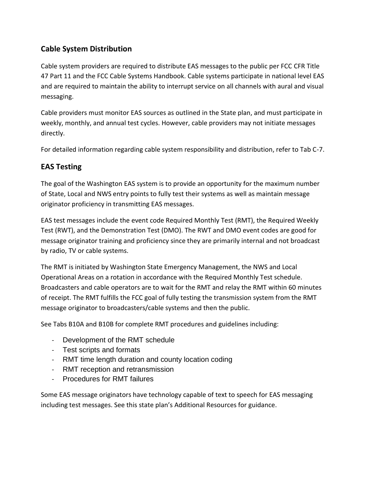# **Cable System Distribution**

Cable system providers are required to distribute EAS messages to the public per FCC CFR Title 47 Part 11 and the FCC Cable Systems Handbook. Cable systems participate in national level EAS and are required to maintain the ability to interrupt service on all channels with aural and visual messaging.

Cable providers must monitor EAS sources as outlined in the State plan, and must participate in weekly, monthly, and annual test cycles. However, cable providers may not initiate messages directly.

For detailed information regarding cable system responsibility and distribution, refer to Tab C-7.

## **EAS Testing**

The goal of the Washington EAS system is to provide an opportunity for the maximum number of State, Local and NWS entry points to fully test their systems as well as maintain message originator proficiency in transmitting EAS messages.

EAS test messages include the event code Required Monthly Test (RMT), the Required Weekly Test (RWT), and the Demonstration Test (DMO). The RWT and DMO event codes are good for message originator training and proficiency since they are primarily internal and not broadcast by radio, TV or cable systems.

The RMT is initiated by Washington State Emergency Management, the NWS and Local Operational Areas on a rotation in accordance with the Required Monthly Test schedule. Broadcasters and cable operators are to wait for the RMT and relay the RMT within 60 minutes of receipt. The RMT fulfills the FCC goal of fully testing the transmission system from the RMT message originator to broadcasters/cable systems and then the public.

See Tabs B10A and B10B for complete RMT procedures and guidelines including:

- Development of the RMT schedule
- Test scripts and formats
- RMT time length duration and county location coding
- RMT reception and retransmission
- Procedures for RMT failures

Some EAS message originators have technology capable of text to speech for EAS messaging including test messages. See this state plan's Additional Resources for guidance.